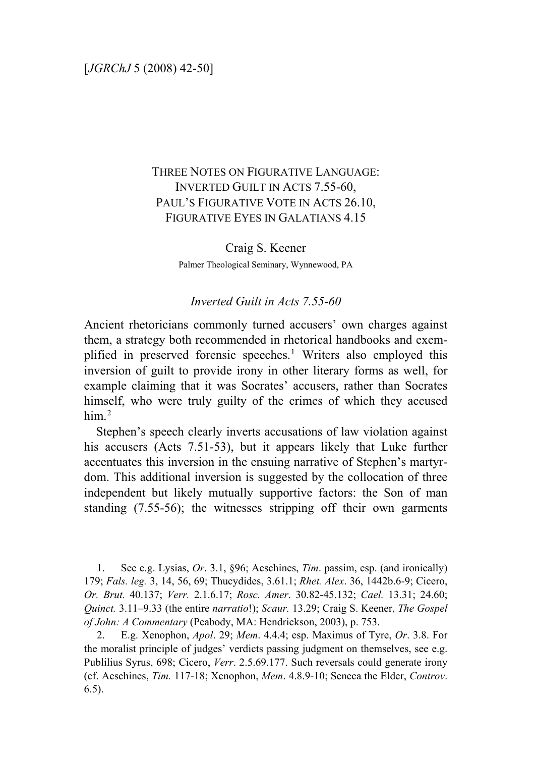## THREE NOTES ON FIGURATIVE LANGUAGE: INVERTED GUILT IN ACTS 7.55-60, PAUL'S FIGURATIVE VOTE IN ACTS 26.10, FIGURATIVE EYES IN GALATIANS 4.15

Craig S. Keener Palmer Theological Seminary, Wynnewood, PA

## *Inverted Guilt in Acts 7.55-60*

Ancient rhetoricians commonly turned accusers' own charges against them, a strategy both recommended in rhetorical handbooks and exem-plified in preserved forensic speeches.<sup>[1](#page-0-0)</sup> Writers also employed this inversion of guilt to provide irony in other literary forms as well, for example claiming that it was Socrates' accusers, rather than Socrates himself, who were truly guilty of the crimes of which they accused him $<sup>2</sup>$  $<sup>2</sup>$  $<sup>2</sup>$ </sup>

Stephen's speech clearly inverts accusations of law violation against his accusers (Acts 7.51-53), but it appears likely that Luke further accentuates this inversion in the ensuing narrative of Stephen's martyrdom. This additional inversion is suggested by the collocation of three independent but likely mutually supportive factors: the Son of man standing (7.55-56); the witnesses stripping off their own garments

<span id="page-0-0"></span>1. See e.g. Lysias, *Or*. 3.1, §96; Aeschines, *Tim*. passim, esp. (and ironically) 179; *Fals. leg.* 3, 14, 56, 69; Thucydides, 3.61.1; *Rhet. Alex*. 36, 1442b.6-9; Cicero, *Or. Brut.* 40.137; *Verr.* 2.1.6.17; *Rosc. Amer*. 30.82-45.132; *Cael.* 13.31; 24.60; *Quinct.* 3.11–9.33 (the entire *narratio*!); *Scaur.* 13.29; Craig S. Keener, *The Gospel of John: A Commentary* (Peabody, MA: Hendrickson, 2003), p. 753.

<span id="page-0-1"></span>2. E.g. Xenophon, *Apol*. 29; *Mem*. 4.4.4; esp. Maximus of Tyre, *Or*. 3.8. For the moralist principle of judges' verdicts passing judgment on themselves, see e.g. Publilius Syrus, 698; Cicero, *Verr*. 2.5.69.177. Such reversals could generate irony (cf. Aeschines, *Tim.* 117-18; Xenophon, *Mem*. 4.8.9-10; Seneca the Elder, *Controv*. 6.5).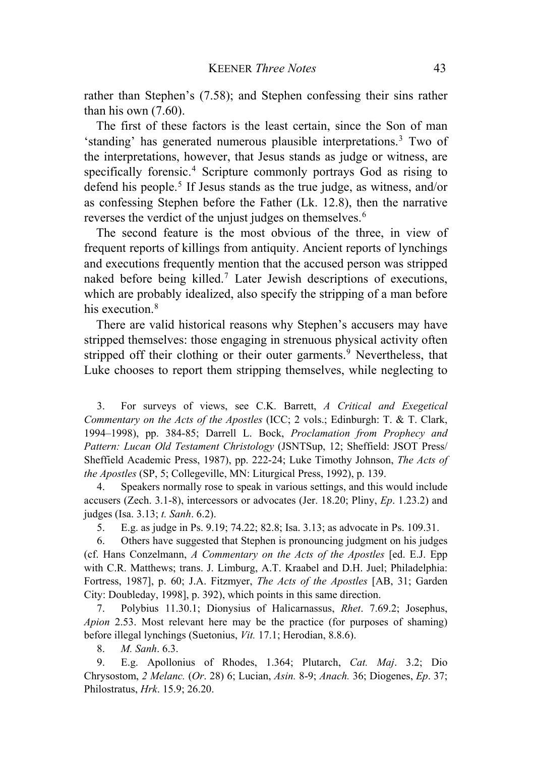rather than Stephen's (7.58); and Stephen confessing their sins rather than his own (7.60).

The first of these factors is the least certain, since the Son of man 'standing' has generated numerous plausible interpretations.[3](#page-1-0) Two of the interpretations, however, that Jesus stands as judge or witness, are specifically forensic.<sup>[4](#page-1-1)</sup> Scripture commonly portrays God as rising to defend his people.<sup>[5](#page-1-2)</sup> If Jesus stands as the true judge, as witness, and/or as confessing Stephen before the Father (Lk. 12.8), then the narrative reverses the verdict of the unjust judges on themselves.[6](#page-1-3)

The second feature is the most obvious of the three, in view of frequent reports of killings from antiquity. Ancient reports of lynchings and executions frequently mention that the accused person was stripped naked before being killed.<sup>[7](#page-1-4)</sup> Later Jewish descriptions of executions, which are probably idealized, also specify the stripping of a man before his execution.<sup>[8](#page-1-5)</sup>

There are valid historical reasons why Stephen's accusers may have stripped themselves: those engaging in strenuous physical activity often stripped off their clothing or their outer garments. $9$  Nevertheless, that Luke chooses to report them stripping themselves, while neglecting to

<span id="page-1-0"></span>3. For surveys of views, see C.K. Barrett, *A Critical and Exegetical Commentary on the Acts of the Apostles* (ICC; 2 vols.; Edinburgh: T. & T. Clark, 1994–1998), pp. 384-85; Darrell L. Bock, *Proclamation from Prophecy and Pattern: Lucan Old Testament Christology* (JSNTSup, 12; Sheffield: JSOT Press/ Sheffield Academic Press, 1987), pp. 222-24; Luke Timothy Johnson, *The Acts of the Apostles* (SP, 5; Collegeville, MN: Liturgical Press, 1992), p. 139.

<span id="page-1-1"></span>4. Speakers normally rose to speak in various settings, and this would include accusers (Zech. 3.1-8), intercessors or advocates (Jer. 18.20; Pliny, *Ep*. 1.23.2) and judges (Isa. 3.13; *t. Sanh*. 6.2).

5. E.g. as judge in Ps. 9.19; 74.22; 82.8; Isa. 3.13; as advocate in Ps. 109.31.

<span id="page-1-3"></span><span id="page-1-2"></span>6. Others have suggested that Stephen is pronouncing judgment on his judges (cf. Hans Conzelmann, *A Commentary on the Acts of the Apostles* [ed. E.J. Epp with C.R. Matthews; trans. J. Limburg, A.T. Kraabel and D.H. Juel; Philadelphia: Fortress, 1987], p. 60; J.A. Fitzmyer, *The Acts of the Apostles* [AB, 31; Garden City: Doubleday, 1998], p. 392), which points in this same direction.

<span id="page-1-4"></span>7. Polybius 11.30.1; Dionysius of Halicarnassus, *Rhet*. 7.69.2; Josephus, *Apion* 2.53. Most relevant here may be the practice (for purposes of shaming) before illegal lynchings (Suetonius, *Vit.* 17.1; Herodian, 8.8.6).

8. *M. Sanh*. 6.3.

<span id="page-1-6"></span><span id="page-1-5"></span>9. E.g. Apollonius of Rhodes, 1.364; Plutarch, *Cat. Maj*. 3.2; Dio Chrysostom, *2 Melanc.* (*Or*. 28) 6; Lucian, *Asin.* 8-9; *Anach.* 36; Diogenes, *Ep*. 37; Philostratus, *Hrk*. 15.9; 26.20.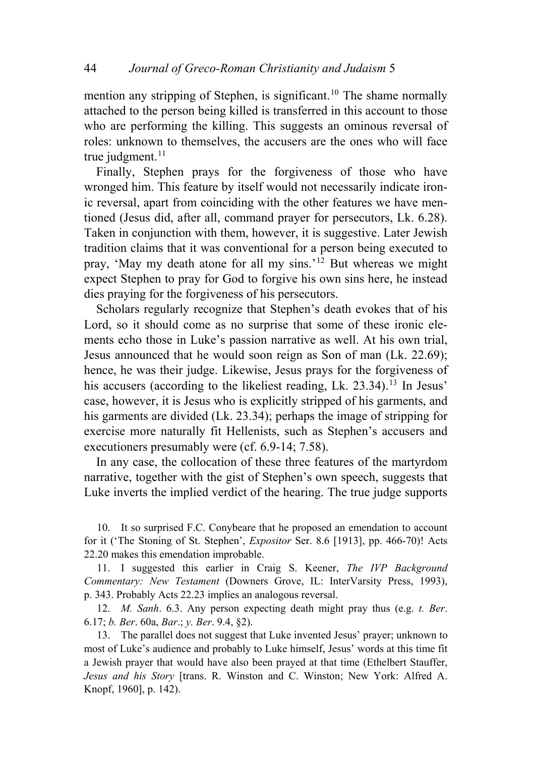mention any stripping of Stephen, is significant.<sup>[10](#page-2-0)</sup> The shame normally attached to the person being killed is transferred in this account to those who are performing the killing. This suggests an ominous reversal of roles: unknown to themselves, the accusers are the ones who will face true judgment. $11$ 

Finally, Stephen prays for the forgiveness of those who have wronged him. This feature by itself would not necessarily indicate ironic reversal, apart from coinciding with the other features we have mentioned (Jesus did, after all, command prayer for persecutors, Lk. 6.28). Taken in conjunction with them, however, it is suggestive. Later Jewish tradition claims that it was conventional for a person being executed to pray, 'May my death atone for all my sins.'[12](#page-2-2) But whereas we might expect Stephen to pray for God to forgive his own sins here, he instead dies praying for the forgiveness of his persecutors.

Scholars regularly recognize that Stephen's death evokes that of his Lord, so it should come as no surprise that some of these ironic elements echo those in Luke's passion narrative as well. At his own trial, Jesus announced that he would soon reign as Son of man (Lk. 22.69); hence, he was their judge. Likewise, Jesus prays for the forgiveness of his accusers (according to the likeliest reading, Lk. 23.34).<sup>[13](#page-2-3)</sup> In Jesus' case, however, it is Jesus who is explicitly stripped of his garments, and his garments are divided (Lk. 23.34); perhaps the image of stripping for exercise more naturally fit Hellenists, such as Stephen's accusers and executioners presumably were (cf. 6.9-14; 7.58).

In any case, the collocation of these three features of the martyrdom narrative, together with the gist of Stephen's own speech, suggests that Luke inverts the implied verdict of the hearing. The true judge supports

<span id="page-2-0"></span>10. It so surprised F.C. Conybeare that he proposed an emendation to account for it ('The Stoning of St. Stephen', *Expositor* Ser. 8.6 [1913], pp. 466-70)! Acts 22.20 makes this emendation improbable.

<span id="page-2-1"></span>11. I suggested this earlier in Craig S. Keener, *The IVP Background Commentary: New Testament* (Downers Grove, IL: InterVarsity Press, 1993), p. 343. Probably Acts 22.23 implies an analogous reversal.

<span id="page-2-2"></span>12. *M. Sanh*. 6.3. Any person expecting death might pray thus (e.g. *t. Ber*. 6.17; *b. Ber*. 60a, *Bar*.; *y. Ber*. 9.4, §2).

<span id="page-2-3"></span>13. The parallel does not suggest that Luke invented Jesus' prayer; unknown to most of Luke's audience and probably to Luke himself, Jesus' words at this time fit a Jewish prayer that would have also been prayed at that time (Ethelbert Stauffer, *Jesus and his Story* [trans. R. Winston and C. Winston; New York: Alfred A. Knopf, 1960], p. 142).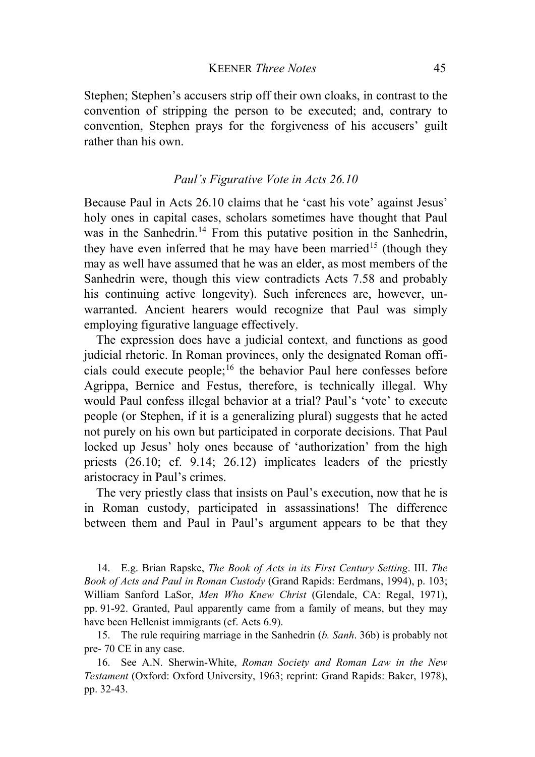Stephen; Stephen's accusers strip off their own cloaks, in contrast to the convention of stripping the person to be executed; and, contrary to convention, Stephen prays for the forgiveness of his accusers' guilt rather than his own.

## *Paul's Figurative Vote in Acts 26.10*

Because Paul in Acts 26.10 claims that he 'cast his vote' against Jesus' holy ones in capital cases, scholars sometimes have thought that Paul was in the Sanhedrin.<sup>[14](#page-3-0)</sup> From this putative position in the Sanhedrin, they have even inferred that he may have been married<sup>[15](#page-3-1)</sup> (though they may as well have assumed that he was an elder, as most members of the Sanhedrin were, though this view contradicts Acts 7.58 and probably his continuing active longevity). Such inferences are, however, unwarranted. Ancient hearers would recognize that Paul was simply employing figurative language effectively.

The expression does have a judicial context, and functions as good judicial rhetoric. In Roman provinces, only the designated Roman officials could execute people;[16](#page-3-2) the behavior Paul here confesses before Agrippa, Bernice and Festus, therefore, is technically illegal. Why would Paul confess illegal behavior at a trial? Paul's 'vote' to execute people (or Stephen, if it is a generalizing plural) suggests that he acted not purely on his own but participated in corporate decisions. That Paul locked up Jesus' holy ones because of 'authorization' from the high priests (26.10; cf. 9.14; 26.12) implicates leaders of the priestly aristocracy in Paul's crimes.

The very priestly class that insists on Paul's execution, now that he is in Roman custody, participated in assassinations! The difference between them and Paul in Paul's argument appears to be that they

<span id="page-3-0"></span>14. E.g. Brian Rapske, *The Book of Acts in its First Century Setting*. III. *The Book of Acts and Paul in Roman Custody* (Grand Rapids: Eerdmans, 1994), p. 103; William Sanford LaSor, *Men Who Knew Christ* (Glendale, CA: Regal, 1971), pp. 91-92. Granted, Paul apparently came from a family of means, but they may have been Hellenist immigrants (cf. Acts 6.9).

<span id="page-3-1"></span>15. The rule requiring marriage in the Sanhedrin (*b. Sanh*. 36b) is probably not pre- 70 CE in any case.

<span id="page-3-2"></span>16. See A.N. Sherwin-White, *Roman Society and Roman Law in the New Testament* (Oxford: Oxford University, 1963; reprint: Grand Rapids: Baker, 1978), pp. 32-43.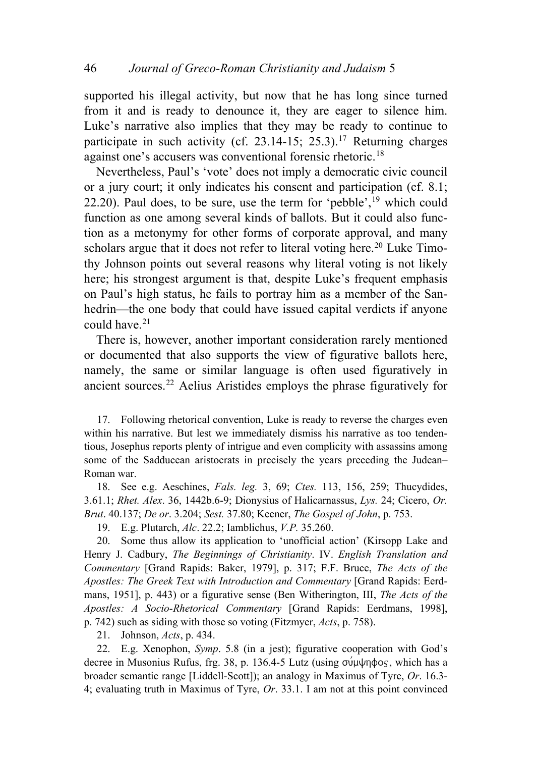supported his illegal activity, but now that he has long since turned from it and is ready to denounce it, they are eager to silence him. Luke's narrative also implies that they may be ready to continue to participate in such activity (cf.  $23.14$ -15;  $25.3$ ).<sup>[17](#page-4-0)</sup> Returning charges against one's accusers was conventional forensic rhetoric.[18](#page-4-1)

Nevertheless, Paul's 'vote' does not imply a democratic civic council or a jury court; it only indicates his consent and participation (cf. 8.1; 22.20). Paul does, to be sure, use the term for 'pebble', $^{19}$  $^{19}$  $^{19}$  which could function as one among several kinds of ballots. But it could also function as a metonymy for other forms of corporate approval, and many scholars argue that it does not refer to literal voting here.<sup>[20](#page-4-3)</sup> Luke Timothy Johnson points out several reasons why literal voting is not likely here; his strongest argument is that, despite Luke's frequent emphasis on Paul's high status, he fails to portray him as a member of the Sanhedrin—the one body that could have issued capital verdicts if anyone could have.<sup>[21](#page-4-4)</sup>

There is, however, another important consideration rarely mentioned or documented that also supports the view of figurative ballots here, namely, the same or similar language is often used figuratively in ancient sources.[22](#page-4-5) Aelius Aristides employs the phrase figuratively for

<span id="page-4-0"></span>17. Following rhetorical convention, Luke is ready to reverse the charges even within his narrative. But lest we immediately dismiss his narrative as too tendentious, Josephus reports plenty of intrigue and even complicity with assassins among some of the Sadducean aristocrats in precisely the years preceding the Judean– Roman war.

<span id="page-4-1"></span>18. See e.g. Aeschines, *Fals. leg.* 3, 69; *Ctes.* 113, 156, 259; Thucydides, 3.61.1; *Rhet. Alex*. 36, 1442b.6-9; Dionysius of Halicarnassus, *Lys.* 24; Cicero, *Or. Brut*. 40.137; *De or*. 3.204; *Sest.* 37.80; Keener, *The Gospel of John*, p. 753.

19. E.g. Plutarch, *Alc*. 22.2; Iamblichus, *V.P.* 35.260.

<span id="page-4-3"></span><span id="page-4-2"></span>20. Some thus allow its application to 'unofficial action' (Kirsopp Lake and Henry J. Cadbury, *The Beginnings of Christianity*. IV. *English Translation and Commentary* [Grand Rapids: Baker, 1979], p. 317; F.F. Bruce, *The Acts of the Apostles: The Greek Text with Introduction and Commentary* [Grand Rapids: Eerdmans, 1951], p. 443) or a figurative sense (Ben Witherington, III, *The Acts of the Apostles: A Socio-Rhetorical Commentary* [Grand Rapids: Eerdmans, 1998], p. 742) such as siding with those so voting (Fitzmyer, *Acts*, p. 758).

21. Johnson, *Acts*, p. 434.

<span id="page-4-5"></span><span id="page-4-4"></span>22. E.g. Xenophon, *Symp*. 5.8 (in a jest); figurative cooperation with God's decree in Musonius Rufus, frg. 38, p. 136.4-5 Lutz (using  $\sigma \psi \psi \eta \phi \circ \phi$ , which has a broader semantic range [Liddell-Scott]); an analogy in Maximus of Tyre, *Or*. 16.3- 4; evaluating truth in Maximus of Tyre, *Or*. 33.1. I am not at this point convinced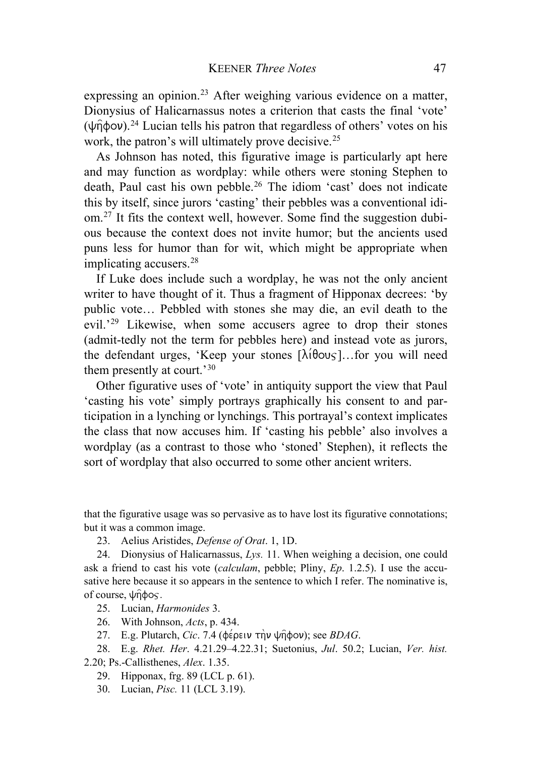expressing an opinion.<sup>[23](#page-5-0)</sup> After weighing various evidence on a matter, Dionysius of Halicarnassus notes a criterion that casts the final 'vote'  $(\psi \hat{\eta} \phi \circ \nu)^{24}$  $(\psi \hat{\eta} \phi \circ \nu)^{24}$  $(\psi \hat{\eta} \phi \circ \nu)^{24}$  Lucian tells his patron that regardless of others' votes on his work, the patron's will ultimately prove decisive.<sup>[25](#page-5-2)</sup>

As Johnson has noted, this figurative image is particularly apt here and may function as wordplay: while others were stoning Stephen to death, Paul cast his own pebble.<sup>[26](#page-5-3)</sup> The idiom 'cast' does not indicate this by itself, since jurors 'casting' their pebbles was a conventional idiom.[27](#page-5-4) It fits the context well, however. Some find the suggestion dubious because the context does not invite humor; but the ancients used puns less for humor than for wit, which might be appropriate when implicating accusers.<sup>[28](#page-5-5)</sup>

If Luke does include such a wordplay, he was not the only ancient writer to have thought of it. Thus a fragment of Hipponax decrees: 'by public vote… Pebbled with stones she may die, an evil death to the evil.'[29](#page-5-6) Likewise, when some accusers agree to drop their stones (admit-tedly not the term for pebbles here) and instead vote as jurors, the defendant urges, 'Keep your stones  $[\lambda(\theta\omega\zeta)]$ ... for you will need them presently at court.'30

Other figurative uses of 'vote' in antiquity support the view that Paul 'casting his vote' simply portrays graphically his consent to and participation in a lynching or lynchings. This portrayal's context implicates the class that now accuses him. If 'casting his pebble' also involves a wordplay (as a contrast to those who 'stoned' Stephen), it reflects the sort of wordplay that also occurred to some other ancient writers.

that the figurative usage was so pervasive as to have lost its figurative connotations; but it was a common image.

23. Aelius Aristides, *Defense of Orat*. 1, 1D.

<span id="page-5-1"></span><span id="page-5-0"></span>24. Dionysius of Halicarnassus, *Lys.* 11. When weighing a decision, one could ask a friend to cast his vote (*calculam*, pebble; Pliny, *Ep*. 1.2.5). I use the accusative here because it so appears in the sentence to which I refer. The nominative is, of course,  $\psi$  $\phi$ os.

25. Lucian, *Harmonides* 3.

26. With Johnson, *Acts*, p. 434.

27. E.g. Plutarch, *Cic.* 7.4 (φέρειν την ψηφον); see *BDAG*.

<span id="page-5-6"></span><span id="page-5-5"></span><span id="page-5-4"></span><span id="page-5-3"></span><span id="page-5-2"></span>28. E.g. *Rhet. Her*. 4.21.29–4.22.31; Suetonius, *Jul*. 50.2; Lucian, *Ver. hist.* 2.20; Ps.-Callisthenes, *Alex*. 1.35.

29. Hipponax, frg. 89 (LCL p. 61).

30. Lucian, *Pisc.* 11 (LCL 3.19).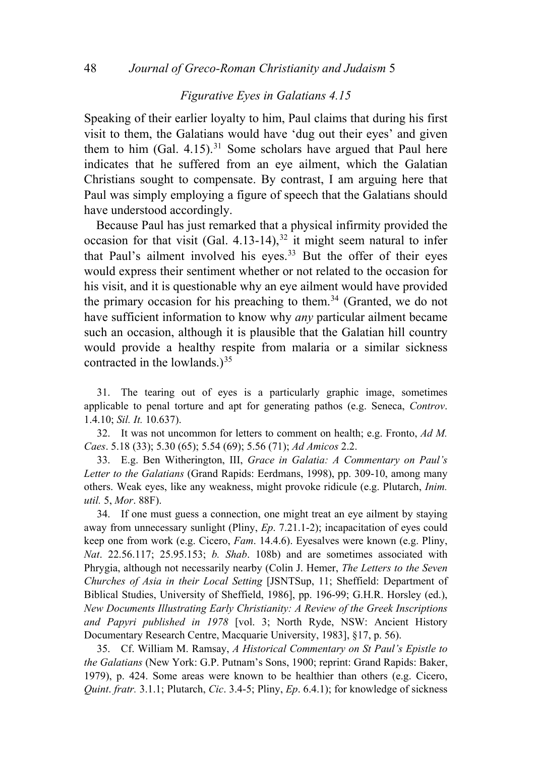## *Figurative Eyes in Galatians 4.15*

Speaking of their earlier loyalty to him, Paul claims that during his first visit to them, the Galatians would have 'dug out their eyes' and given them to him  $(Ga)$ . 4.15).<sup>[31](#page-6-0)</sup> Some scholars have argued that Paul here indicates that he suffered from an eye ailment, which the Galatian Christians sought to compensate. By contrast, I am arguing here that Paul was simply employing a figure of speech that the Galatians should have understood accordingly.

Because Paul has just remarked that a physical infirmity provided the occasion for that visit (Gal.  $4.13$ -14),<sup>[32](#page-6-1)</sup> it might seem natural to infer that Paul's ailment involved his eyes.<sup>[33](#page-6-2)</sup> But the offer of their eyes would express their sentiment whether or not related to the occasion for his visit, and it is questionable why an eye ailment would have provided the primary occasion for his preaching to them.<sup>[34](#page-6-3)</sup> (Granted, we do not have sufficient information to know why *any* particular ailment became such an occasion, although it is plausible that the Galatian hill country would provide a healthy respite from malaria or a similar sickness contracted in the lowlands.) $35$ 

<span id="page-6-0"></span>31. The tearing out of eyes is a particularly graphic image, sometimes applicable to penal torture and apt for generating pathos (e.g. Seneca, *Controv*. 1.4.10; *Sil. It.* 10.637).

<span id="page-6-1"></span>32. It was not uncommon for letters to comment on health; e.g. Fronto, *Ad M. Caes*. 5.18 (33); 5.30 (65); 5.54 (69); 5.56 (71); *Ad Amicos* 2.2.

<span id="page-6-2"></span>33. E.g. Ben Witherington, III, *Grace in Galatia: A Commentary on Paul's Letter to the Galatians* (Grand Rapids: Eerdmans, 1998), pp. 309-10, among many others. Weak eyes, like any weakness, might provoke ridicule (e.g. Plutarch, *Inim. util.* 5, *Mor*. 88F).

<span id="page-6-3"></span>34. If one must guess a connection, one might treat an eye ailment by staying away from unnecessary sunlight (Pliny, *Ep*. 7.21.1-2); incapacitation of eyes could keep one from work (e.g. Cicero, *Fam*. 14.4.6). Eyesalves were known (e.g. Pliny, *Nat*. 22.56.117; 25.95.153; *b. Shab*. 108b) and are sometimes associated with Phrygia, although not necessarily nearby (Colin J. Hemer, *The Letters to the Seven Churches of Asia in their Local Setting* [JSNTSup, 11; Sheffield: Department of Biblical Studies, University of Sheffield, 1986], pp. 196-99; G.H.R. Horsley (ed.), *New Documents Illustrating Early Christianity: A Review of the Greek Inscriptions and Papyri published in 1978* [vol. 3; North Ryde, NSW: Ancient History Documentary Research Centre, Macquarie University, 1983], §17, p. 56).

35. Cf. William M. Ramsay, *A Historical Commentary on St Paul's Epistle to the Galatians* (New York: G.P. Putnam's Sons, 1900; reprint: Grand Rapids: Baker, 1979), p. 424. Some areas were known to be healthier than others (e.g. Cicero, *Quint*. *fratr.* 3.1.1; Plutarch, *Cic*. 3.4-5; Pliny, *Ep*. 6.4.1); for knowledge of sickness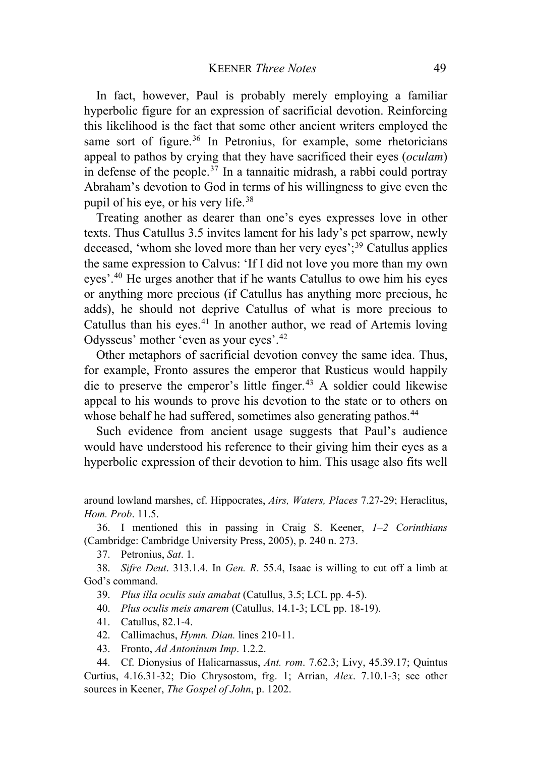In fact, however, Paul is probably merely employing a familiar hyperbolic figure for an expression of sacrificial devotion. Reinforcing this likelihood is the fact that some other ancient writers employed the same sort of figure.<sup>[36](#page-7-0)</sup> In Petronius, for example, some rhetoricians appeal to pathos by crying that they have sacrificed their eyes (*oculam*) in defense of the people.<sup>[37](#page-7-1)</sup> In a tannaitic midrash, a rabbi could portray Abraham's devotion to God in terms of his willingness to give even the pupil of his eye, or his very life.[38](#page-7-2)

Treating another as dearer than one's eyes expresses love in other texts. Thus Catullus 3.5 invites lament for his lady's pet sparrow, newly deceased, 'whom she loved more than her very eyes';[39](#page-7-3) Catullus applies the same expression to Calvus: 'If I did not love you more than my own eyes'.[40](#page-7-4) He urges another that if he wants Catullus to owe him his eyes or anything more precious (if Catullus has anything more precious, he adds), he should not deprive Catullus of what is more precious to Catullus than his eyes.<sup>[41](#page-7-5)</sup> In another author, we read of Artemis loving Odysseus' mother 'even as your eyes'.[42](#page-7-6)

Other metaphors of sacrificial devotion convey the same idea. Thus, for example, Fronto assures the emperor that Rusticus would happily die to preserve the emperor's little finger.<sup>[43](#page-7-7)</sup> A soldier could likewise appeal to his wounds to prove his devotion to the state or to others on whose behalf he had suffered, sometimes also generating pathos.<sup>[44](#page-7-8)</sup>

Such evidence from ancient usage suggests that Paul's audience would have understood his reference to their giving him their eyes as a hyperbolic expression of their devotion to him. This usage also fits well

around lowland marshes, cf. Hippocrates, *Airs, Waters, Places* 7.27-29; Heraclitus, *Hom. Prob*. 11.5.

<span id="page-7-0"></span>36. I mentioned this in passing in Craig S. Keener, *1–2 Corinthians* (Cambridge: Cambridge University Press, 2005), p. 240 n. 273.

37. Petronius, *Sat*. 1.

<span id="page-7-4"></span><span id="page-7-3"></span><span id="page-7-2"></span><span id="page-7-1"></span>38. *Sifre Deut*. 313.1.4. In *Gen. R*. 55.4, Isaac is willing to cut off a limb at God's command.

39. *Plus illa oculis suis amabat* (Catullus, 3.5; LCL pp. 4-5).

40. *Plus oculis meis amarem* (Catullus, 14.1-3; LCL pp. 18-19).

41. Catullus, 82.1-4.

42. Callimachus, *Hymn. Dian.* lines 210-11.

43. Fronto, *Ad Antoninum Imp*. 1.2.2.

<span id="page-7-8"></span><span id="page-7-7"></span><span id="page-7-6"></span><span id="page-7-5"></span>44. Cf. Dionysius of Halicarnassus, *Ant. rom*. 7.62.3; Livy, 45.39.17; Quintus Curtius, 4.16.31-32; Dio Chrysostom, frg. 1; Arrian, *Alex*. 7.10.1-3; see other sources in Keener, *The Gospel of John*, p. 1202.